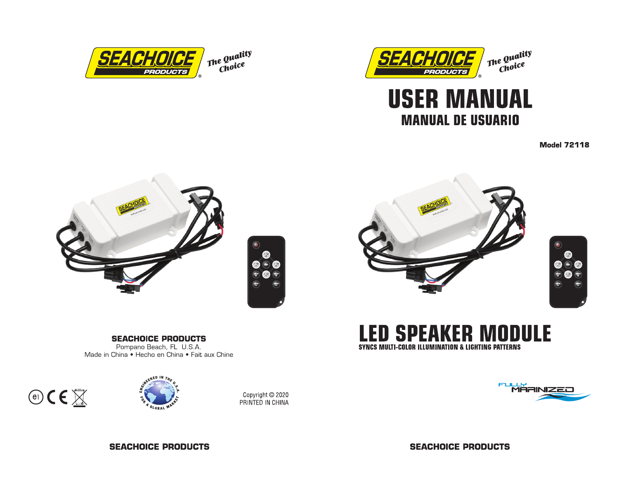



# **USER MANUAL MANUAL DE USUARIO**

**Model 72118** 







**LED SPEAKER MODULE** SYNCS MULTI-COLOR ILLUMINATION & LIGHTING PATTERNS



## **SEACHOICE PRODUCTS**

Pompano Beach, FL U.S.A. Made in China • Hecho en China • Fait aux Chine





Copyright © 2020 PRINTED IN CHINA

**SEACHOICE PRODUCTS** 

**SEACHOICE PRODUCTS**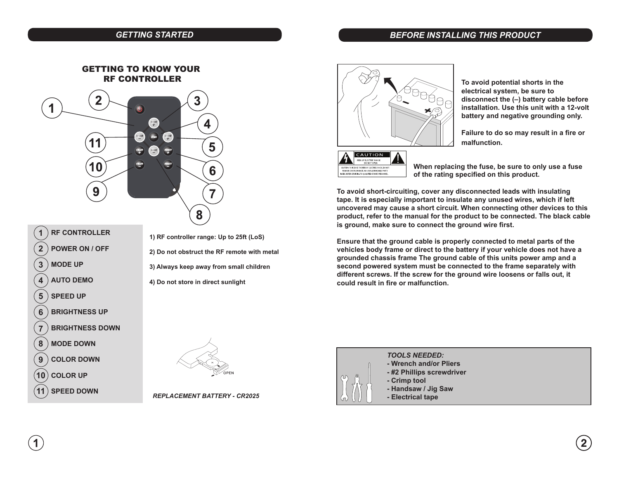#### *GETTING STARTED*

#### *BEFORE INSTALLING THIS PRODUCT*



| 1              | <b>RF CONTROLLER</b>   |
|----------------|------------------------|
| $\overline{2}$ | <b>POWER ON / OFF</b>  |
| $\mathbf{3}$   | <b>MODE UP</b>         |
| 4              | <b>AUTO DEMO</b>       |
| 5              | SPEED UP               |
| 6              | <b>BRIGHTNESS UP</b>   |
| $\overline{7}$ | <b>BRIGHTNESS DOWN</b> |
| 8              | ) MODE DOWN            |
| 9              | COLOR DOWN             |
|                | $10)$ COLOR UP         |
|                | <b>SPEED DOWN</b>      |

**1) RF controller range: Up to 25ft (LoS)**

**2) Do not obstruct the RF remote with metal**

**3) Always keep away from small children**

**4) Do not store in direct sunlight**



**To avoid potential shorts in the electrical system, be sure to disconnect the (–) battery cable before installation. Use this unit with a 12-volt battery and negative grounding only.** 

**malfunction. Failure to do so may result in a fire or**



**When replacing the fuse, be sure to only use a fuse of the rating specified on this product.** 

**To avoid short-circuiting, cover any disconnected leads with insulating tape. It is especially important to insulate any unused wires, which if left uncovered may cause a short circuit. When connecting other devices to this product, refer to the manual for the product to be connected. The black cable is ground, make sure to connect the ground wire first.**

**could result in fire or malfunction. Ensure that the ground cable is properly connected to metal parts of the vehicles body frame or direct to the battery if your vehicle does not have a grounded chassis frame The ground cable of this units power amp and a second powered system must be connected to the frame separately with different screws. If the screw for the ground wire loosens or falls out, it** 



**11 SPEED DOWN** *REPLACEMENT BATTERY - CR2025*